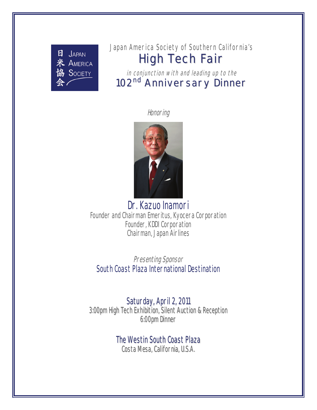

# Japan America Society of Southern California's High Tech Fair

in conjunction with and leading up to the 102<sup>nd</sup> Anniversary Dinner

**Honoring** 



Dr. Kazuo Inamori Founder and Chairman Emeritus, Kyocera Corporation Founder, KDDI Corporation Chairman, Japan Airlines

Presenting Sponsor South Coast Plaza International Destination

Saturday, April 2, 2011

3:00pm High Tech Exhibition, Silent Auction & Reception 6:00pm Dinner

**The Westin South Coast Plaza** 

Costa Mesa, California, U.S.A.

*JASSC High Tech Trade Fair & 102nd Anniversary Dinner & Gala Celebration*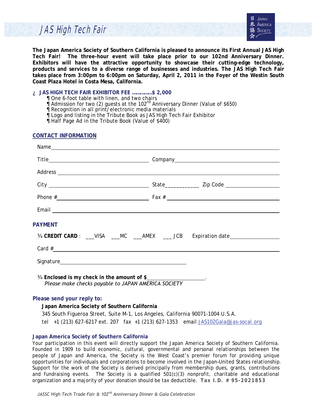# JAS High Tech Fair

**The Japan America Society of Southern California is pleased to announce its First Annual JAS High Tech Fair! The three-hour event will take place prior to our 102nd Anniversary Dinner. Exhibitors will have the attractive opportunity to showcase their cutting-edge technology, products and services to a diverse range of businesses and industries. The JAS High Tech Fair takes place from 3:00pm to 6:00pm on Saturday, April 2, 2011 in the Foyer of the Westin South Coast Plaza Hotel in Costa Mesa, California.** 

### **JAS HIGH TECH FAIR EXHIBITOR FEE ……………\$ 2,000**

- One 6-foot table with linen, and two chairs
- Admission for two (2) guests at the  $102<sup>nd</sup>$  Anniversary Dinner (Value of \$650)
- Recognition in all print/electronic media materials
- Logo and listing in the Tribute Book as JAS High Tech Fair Exhibitor
- Half Page Ad in the Tribute Book (Value of \$400)

### **CONTACT INFORMATION**

|                                                                                                                     | Address experience and the contract of the contract of the contract of the contract of the contract of the contract of the contract of the contract of the contract of the contract of the contract of the contract of the con                                                                                                           |  |  |  |
|---------------------------------------------------------------------------------------------------------------------|------------------------------------------------------------------------------------------------------------------------------------------------------------------------------------------------------------------------------------------------------------------------------------------------------------------------------------------|--|--|--|
|                                                                                                                     |                                                                                                                                                                                                                                                                                                                                          |  |  |  |
|                                                                                                                     | Phone $\#$ $\qquad \qquad$ $\qquad$ $\qquad$ $\qquad$ $\qquad$ $\qquad$ $\qquad$ $\qquad$ $\qquad$ $\qquad$ $\qquad$ $\qquad$ $\qquad$ $\qquad$ $\qquad$ $\qquad$ $\qquad$ $\qquad$ $\qquad$ $\qquad$ $\qquad$ $\qquad$ $\qquad$ $\qquad$ $\qquad$ $\qquad$ $\qquad$ $\qquad$ $\qquad$ $\qquad$ $\qquad$ $\qquad$ $\qquad$ $\qquad$ $\q$ |  |  |  |
|                                                                                                                     |                                                                                                                                                                                                                                                                                                                                          |  |  |  |
| <b>PAYMENT</b>                                                                                                      |                                                                                                                                                                                                                                                                                                                                          |  |  |  |
|                                                                                                                     | - CREDIT CARD : ___VISA ___MC ___AMEX ____ JCB Expiration date__________________                                                                                                                                                                                                                                                         |  |  |  |
| Card $\#$                                                                                                           |                                                                                                                                                                                                                                                                                                                                          |  |  |  |
|                                                                                                                     |                                                                                                                                                                                                                                                                                                                                          |  |  |  |
| - Enclosed is my check in the amount of \$_________________.<br>Please make checks payable to JAPAN AMERICA SOCIETY |                                                                                                                                                                                                                                                                                                                                          |  |  |  |
| Please send your reply to:                                                                                          |                                                                                                                                                                                                                                                                                                                                          |  |  |  |

### **Japan America Society of Southern California**

345 South Figueroa Street, Suite M-1, Los Angeles, California 90071-1004 U.S.A. tel +1 (213) 627-6217 ext. 207 fax +1 (213) 627-1353 email [JAS102Gala@jas-socal.org](mailto:JAS102Gala@jas-socal.org)

### **Japan America Society of Southern California**

Your participation in this event will directly support the Japan America Society of Southern California. Founded in 1909 to build economic, cultural, governmental and personal relationships between the people of Japan and America, the Society is the West Coast's premier forum for providing unique opportunities for individuals and corporations to become involved in the Japan–United States relationship. Support for the work of the Society is derived principally from membership dues, grants, contributions and fundraising events. The Society is a qualified 501(c)(3) nonprofit, charitable and educational organization and a majority of your donation should be tax deductible. **Tax I.D. # 95-2021853**